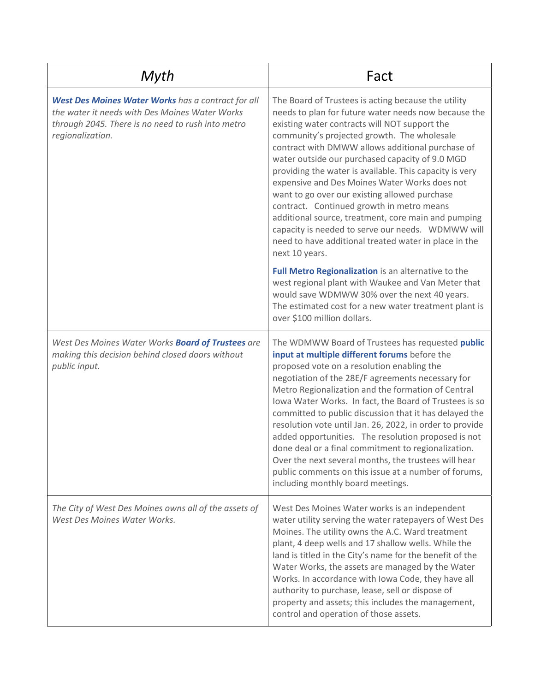| Myth                                                                                                                                                                          | Fact                                                                                                                                                                                                                                                                                                                                                                                                                                                                                                                                                                                                                                                                                                                                                                                                                                                                                                                                                                     |
|-------------------------------------------------------------------------------------------------------------------------------------------------------------------------------|--------------------------------------------------------------------------------------------------------------------------------------------------------------------------------------------------------------------------------------------------------------------------------------------------------------------------------------------------------------------------------------------------------------------------------------------------------------------------------------------------------------------------------------------------------------------------------------------------------------------------------------------------------------------------------------------------------------------------------------------------------------------------------------------------------------------------------------------------------------------------------------------------------------------------------------------------------------------------|
| West Des Moines Water Works has a contract for all<br>the water it needs with Des Moines Water Works<br>through 2045. There is no need to rush into metro<br>regionalization. | The Board of Trustees is acting because the utility<br>needs to plan for future water needs now because the<br>existing water contracts will NOT support the<br>community's projected growth. The wholesale<br>contract with DMWW allows additional purchase of<br>water outside our purchased capacity of 9.0 MGD<br>providing the water is available. This capacity is very<br>expensive and Des Moines Water Works does not<br>want to go over our existing allowed purchase<br>contract. Continued growth in metro means<br>additional source, treatment, core main and pumping<br>capacity is needed to serve our needs. WDMWW will<br>need to have additional treated water in place in the<br>next 10 years.<br>Full Metro Regionalization is an alternative to the<br>west regional plant with Waukee and Van Meter that<br>would save WDMWW 30% over the next 40 years.<br>The estimated cost for a new water treatment plant is<br>over \$100 million dollars. |
| West Des Moines Water Works Board of Trustees are<br>making this decision behind closed doors without<br>public input.                                                        | The WDMWW Board of Trustees has requested public<br>input at multiple different forums before the<br>proposed vote on a resolution enabling the<br>negotiation of the 28E/F agreements necessary for<br>Metro Regionalization and the formation of Central<br>Iowa Water Works. In fact, the Board of Trustees is so<br>committed to public discussion that it has delayed the<br>resolution vote until Jan. 26, 2022, in order to provide<br>added opportunities. The resolution proposed is not<br>done deal or a final commitment to regionalization.<br>Over the next several months, the trustees will hear<br>public comments on this issue at a number of forums,<br>including monthly board meetings.                                                                                                                                                                                                                                                            |
| The City of West Des Moines owns all of the assets of<br>West Des Moines Water Works.                                                                                         | West Des Moines Water works is an independent<br>water utility serving the water ratepayers of West Des<br>Moines. The utility owns the A.C. Ward treatment<br>plant, 4 deep wells and 17 shallow wells. While the<br>land is titled in the City's name for the benefit of the<br>Water Works, the assets are managed by the Water<br>Works. In accordance with Iowa Code, they have all<br>authority to purchase, lease, sell or dispose of<br>property and assets; this includes the management,<br>control and operation of those assets.                                                                                                                                                                                                                                                                                                                                                                                                                             |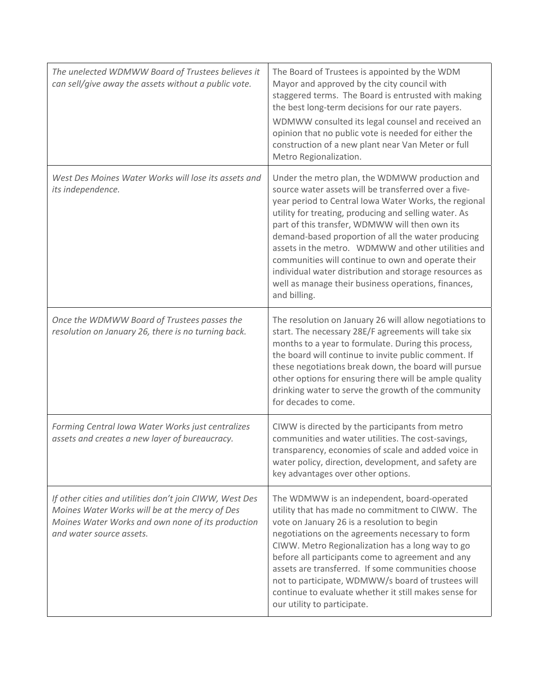| The unelected WDMWW Board of Trustees believes it<br>can sell/give away the assets without a public vote.                                                                                  | The Board of Trustees is appointed by the WDM<br>Mayor and approved by the city council with<br>staggered terms. The Board is entrusted with making<br>the best long-term decisions for our rate payers.<br>WDMWW consulted its legal counsel and received an<br>opinion that no public vote is needed for either the<br>construction of a new plant near Van Meter or full<br>Metro Regionalization.                                                                                                                                                                         |
|--------------------------------------------------------------------------------------------------------------------------------------------------------------------------------------------|-------------------------------------------------------------------------------------------------------------------------------------------------------------------------------------------------------------------------------------------------------------------------------------------------------------------------------------------------------------------------------------------------------------------------------------------------------------------------------------------------------------------------------------------------------------------------------|
| West Des Moines Water Works will lose its assets and<br>its independence.                                                                                                                  | Under the metro plan, the WDMWW production and<br>source water assets will be transferred over a five-<br>year period to Central Iowa Water Works, the regional<br>utility for treating, producing and selling water. As<br>part of this transfer, WDMWW will then own its<br>demand-based proportion of all the water producing<br>assets in the metro. WDMWW and other utilities and<br>communities will continue to own and operate their<br>individual water distribution and storage resources as<br>well as manage their business operations, finances,<br>and billing. |
| Once the WDMWW Board of Trustees passes the<br>resolution on January 26, there is no turning back.                                                                                         | The resolution on January 26 will allow negotiations to<br>start. The necessary 28E/F agreements will take six<br>months to a year to formulate. During this process,<br>the board will continue to invite public comment. If<br>these negotiations break down, the board will pursue<br>other options for ensuring there will be ample quality<br>drinking water to serve the growth of the community<br>for decades to come.                                                                                                                                                |
| Forming Central Iowa Water Works just centralizes<br>assets and creates a new layer of bureaucracy.                                                                                        | CIWW is directed by the participants from metro<br>communities and water utilities. The cost-savings,<br>transparency, economies of scale and added voice in<br>water policy, direction, development, and safety are<br>key advantages over other options.                                                                                                                                                                                                                                                                                                                    |
| If other cities and utilities don't join CIWW, West Des<br>Moines Water Works will be at the mercy of Des<br>Moines Water Works and own none of its production<br>and water source assets. | The WDMWW is an independent, board-operated<br>utility that has made no commitment to CIWW. The<br>vote on January 26 is a resolution to begin<br>negotiations on the agreements necessary to form<br>CIWW. Metro Regionalization has a long way to go<br>before all participants come to agreement and any<br>assets are transferred. If some communities choose<br>not to participate, WDMWW/s board of trustees will<br>continue to evaluate whether it still makes sense for<br>our utility to participate.                                                               |